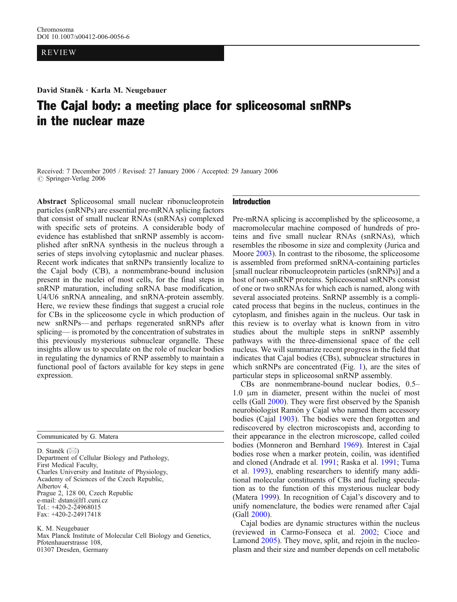## REVIEW

David Staněk . Karla M. Neugebauer

# The Cajal body: a meeting place for spliceosomal snRNPs in the nuclear maze

Received: 7 December 2005 / Revised: 27 January 2006 / Accepted: 29 January 2006 *#* Springer-Verlag 2006

Abstract Spliceosomal small nuclear ribonucleoprotein particles (snRNPs) are essential pre-mRNA splicing factors that consist of small nuclear RNAs (snRNAs) complexed with specific sets of proteins. A considerable body of evidence has established that snRNP assembly is accomplished after snRNA synthesis in the nucleus through a series of steps involving cytoplasmic and nuclear phases. Recent work indicates that snRNPs transiently localize to the Cajal body (CB), a nonmembrane-bound inclusion present in the nuclei of most cells, for the final steps in snRNP maturation, including snRNA base modification, U4/U6 snRNA annealing, and snRNA-protein assembly. Here, we review these findings that suggest a crucial role for CBs in the spliceosome cycle in which production of new snRNPs—and perhaps regenerated snRNPs after splicing— is promoted by the concentration of substrates in this previously mysterious subnuclear organelle. These insights allow us to speculate on the role of nuclear bodies in regulating the dynamics of RNP assembly to maintain a functional pool of factors available for key steps in gene expression.

Communicated by G. Matera

D. Staněk  $(\boxtimes)$ Department of Cellular Biology and Pathology, First Medical Faculty, Charles University and Institute of Physiology, Academy of Sciences of the Czech Republic, Albertov 4, Prague 2, 128 00, Czech Republic e-mail: dstan@lf1.cuni.cz Tel.: +420-2-24968015 Fax: +420-2-24917418

K. M. Neugebauer Max Planck Institute of Molecular Cell Biology and Genetics, Pfotenhauerstrasse 108, 01307 Dresden, Germany

## Introduction

Pre-mRNA splicing is accomplished by the spliceosome, a macromolecular machine composed of hundreds of proteins and five small nuclear RNAs (snRNAs), which resembles the ribosome in size and complexity (Jurica and Moore [2003\)](#page-9-0). In contrast to the ribosome, the spliceosome is assembled from preformed snRNA-containing particles [small nuclear ribonucleoprotein particles (snRNPs)] and a host of non-snRNP proteins. Spliceosomal snRNPs consist of one or two snRNAs for which each is named, along with several associated proteins. SnRNP assembly is a complicated process that begins in the nucleus, continues in the cytoplasm, and finishes again in the nucleus. Our task in this review is to overlay what is known from in vitro studies about the multiple steps in snRNP assembly pathways with the three-dimensional space of the cell nucleus. We will summarize recent progress in the field that indicates that Cajal bodies (CBs), subnuclear structures in which snRNPs are concentrated (Fig. [1\)](#page-1-0), are the sites of particular steps in spliceosomal snRNP assembly.

CBs are nonmembrane-bound nuclear bodies, 0.5– 1.0 μm in diameter, present within the nuclei of most cells (Gall [2000\)](#page-9-0). They were first observed by the Spanish neurobiologist Ramón y Cajal who named them accessory bodies (Cajal [1903](#page-8-0)). The bodies were then forgotten and rediscovered by electron microscopists and, according to their appearance in the electron microscope, called coiled bodies (Monneron and Bernhard [1969](#page-10-0)). Interest in Cajal bodies rose when a marker protein, coilin, was identified and cloned (Andrade et al. [1991;](#page-8-0) Raska et al. [1991](#page-10-0); Tuma et al. [1993\)](#page-11-0), enabling researchers to identify many additional molecular constituents of CBs and fueling speculation as to the function of this mysterious nuclear body (Matera [1999](#page-10-0)). In recognition of Cajal's discovery and to unify nomenclature, the bodies were renamed after Cajal (Gall [2000](#page-9-0)).

Cajal bodies are dynamic structures within the nucleus (reviewed in Carmo-Fonseca et al. [2002](#page-8-0); Cioce and Lamond [2005\)](#page-9-0). They move, split, and rejoin in the nucleoplasm and their size and number depends on cell metabolic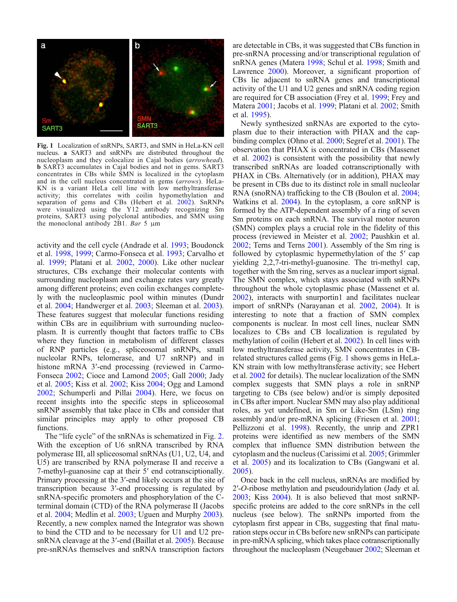<span id="page-1-0"></span>

Fig. 1 Localization of snRNPs, SART3, and SMN in HeLa-KN cell nucleus. a SART3 and snRNPs are distributed throughout the nucleoplasm and they colocalize in Cajal bodies (arrowhead). b SART3 accumulates in Cajal bodies and not in gems. SART3 concentrates in CBs while SMN is localized in the cytoplasm and in the cell nucleus concentrated in gems (arrows). HeLa-KN is a variant HeLa cell line with low methyltransferase activity; this correlates with coilin hypomethylation and separation of gems and CBs (Hebert et al. [2002\)](#page-9-0). SnRNPs were visualized using the Y12 antibody recognizing Sm proteins, SART3 using polyclonal antibodies, and SMN using the monoclonal antibody 2B1. Bar 5  $\mu$ m

activity and the cell cycle (Andrade et al. [1993](#page-8-0); Boudonck et al. [1998,](#page-8-0) [1999;](#page-8-0) Carmo-Fonseca et al. [1993;](#page-8-0) Carvalho et al. [1999;](#page-8-0) Platani et al. [2002,](#page-10-0) [2000](#page-10-0)). Like other nuclear structures, CBs exchange their molecular contents with surrounding nucleoplasm and exchange rates vary greatly among different proteins; even coilin exchanges completely with the nucleoplasmic pool within minutes (Dundr et al. [2004;](#page-9-0) Handwerger et al. [2003](#page-9-0); Sleeman et al. [2003\)](#page-11-0). These features suggest that molecular functions residing within CBs are in equilibrium with surrounding nucleoplasm. It is currently thought that factors traffic to CBs where they function in metabolism of different classes of RNP particles (e.g., spliceosomal snRNPs, small nucleolar RNPs, telomerase, and U7 snRNP) and in histone mRNA 3'-end processing (reviewed in Carmo-Fonseca [2002;](#page-8-0) Cioce and Lamond [2005](#page-9-0); Gall [2000;](#page-9-0) Jady et al. [2005;](#page-9-0) Kiss et al. [2002](#page-9-0); Kiss [2004](#page-9-0); Ogg and Lamond [2002](#page-10-0); Schumperli and Pillai [2004\)](#page-10-0). Here, we focus on recent insights into the specific steps in spliceosomal snRNP assembly that take place in CBs and consider that similar principles may apply to other proposed CB functions.

The "life cycle" of the snRNAs is schematized in Fig. [2](#page-2-0). With the exception of U6 snRNA transcribed by RNA polymerase III, all spliceosomal snRNAs (U1, U2, U4, and U5) are transcribed by RNA polymerase II and receive a 7-methyl-guanosine cap at their 5′ end cotransciptionally. Primary processing at the 3′-end likely occurs at the site of transcription because 3′-end processing is regulated by snRNA-specific promoters and phosphorylation of the Cterminal domain (CTD) of the RNA polymerase II (Jacobs et al. [2004](#page-9-0); Medlin et al. [2003;](#page-10-0) Uguen and Murphy [2003\)](#page-11-0). Recently, a new complex named the Integrator was shown to bind the CTD and to be necessary for U1 and U2 pre-snRNA cleavage at the 3'-end (Baillat et al. [2005](#page-8-0)). Because pre-snRNAs themselves and snRNA transcription factors

are detectable in CBs, it was suggested that CBs function in pre-snRNA processing and/or transcriptional regulation of snRNA genes (Matera [1998](#page-10-0); Schul et al. [1998](#page-10-0); Smith and Lawrence [2000](#page-11-0)). Moreover, a significant proportion of CBs lie adjacent to snRNA genes and transcriptional activity of the U1 and U2 genes and snRNA coding region are required for CB association (Frey et al. [1999;](#page-9-0) Frey and Matera [2001](#page-9-0); Jacobs et al. [1999;](#page-9-0) Platani et al. [2002;](#page-10-0) Smith et al. [1995\)](#page-11-0).

Newly synthesized snRNAs are exported to the cytoplasm due to their interaction with PHAX and the capbinding complex (Ohno et al. [2000](#page-10-0); Segref et al. [2001\)](#page-10-0). The observation that PHAX is concentrated in CBs (Massenet et al. [2002](#page-10-0)) is consistent with the possibility that newly transcribed snRNAs are loaded cotranscriptionally with PHAX in CBs. Alternatively (or in addition), PHAX may be present in CBs due to its distinct role in small nucleolar RNA (snoRNA) trafficking to the CB (Boulon et al. [2004](#page-8-0); Watkins et al. [2004\)](#page-11-0). In the cytoplasm, a core snRNP is formed by the ATP-dependent assembly of a ring of seven Sm proteins on each snRNA. The survival motor neuron (SMN) complex plays a crucial role in the fidelity of this process (reviewed in Meister et al. [2002;](#page-10-0) Paushkin et al. [2002](#page-10-0); Terns and Terns [2001\)](#page-11-0). Assembly of the Sm ring is followed by cytoplasmic hypermethylation of the 5′ cap yielding 2,2,7-tri-methyl-guanosine. The tri-methyl cap, together with the Sm ring, serves as a nuclear import signal. The SMN complex, which stays associated with snRNPs throughout the whole cytoplasmic phase (Massenet et al. [2002](#page-10-0)), interacts with snurportin1 and facilitates nuclear import of snRNPs (Narayanan et al. [2002,](#page-10-0) [2004](#page-10-0)). It is interesting to note that a fraction of SMN complex components is nuclear. In most cell lines, nuclear SMN localizes to CBs and CB localization is regulated by methylation of coilin (Hebert et al. [2002\)](#page-9-0). In cell lines with low methyltransferase activity, SMN concentrates in CBrelated structures called gems (Fig. 1 shows gems in HeLa-KN strain with low methyltransferase activity; see Hebert et al. [2002](#page-9-0) for details). The nuclear localization of the SMN complex suggests that SMN plays a role in snRNP targeting to CBs (see below) and/or is simply deposited in CBs after import. Nuclear SMN may also play additional roles, as yet undefined, in Sm or Like-Sm (LSm) ring assembly and/or pre-mRNA splicing (Friesen et al. [2001](#page-9-0); Pellizzoni et al. [1998](#page-10-0)). Recently, the unrip and ZPR1 proteins were identified as new members of the SMN complex that influence SMN distribution between the cytoplasm and the nucleus (Carissimi et al. [2005;](#page-8-0) Grimmler et al. [2005\)](#page-9-0) and its localization to CBs (Gangwani et al. [2005](#page-9-0)).

Once back in the cell nucleus, snRNAs are modified by 2′-O-ribose methylation and pseudouridylation (Jady et al. [2003;](#page-9-0) Kiss [2004](#page-9-0)). It is also believed that most snRNPspecific proteins are added to the core snRNPs in the cell nucleus (see below). The snRNPs imported from the cytoplasm first appear in CBs, suggesting that final maturation steps occur in CBs before new snRNPs can participate in pre-mRNA splicing, which takes place cotranscriptionally throughout the nucleoplasm (Neugebauer [2002](#page-10-0); Sleeman et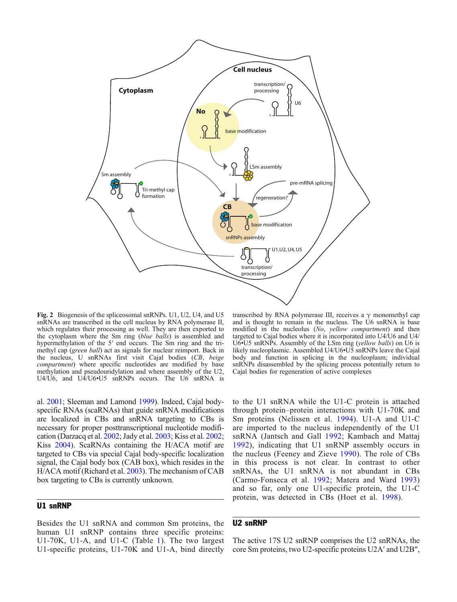<span id="page-2-0"></span>

Fig. 2 Biogenesis of the spliceosomal snRNPs. U1, U2, U4, and U5 snRNAs are transcribed in the cell nucleus by RNA polymerase II, which regulates their processing as well. They are then exported to the cytoplasm where the Sm ring (blue balls) is assembled and hypermethylation of the 5' end occurs. The Sm ring and the trimethyl cap (green ball) act as signals for nuclear reimport. Back in the nucleus, U snRNAs first visit Cajal bodies (CB, beige compartment) where specific nucleotides are modified by base methylation and pseudouridylation and where assembly of the U2, U4/U6, and U4/U6•U5 snRNPs occurs. The U6 snRNA is

al. [2001;](#page-10-0) Sleeman and Lamond [1999](#page-10-0)). Indeed, Cajal bodyspecific RNAs (scaRNAs) that guide snRNA modifications are localized in CBs and snRNA targeting to CBs is necessary for proper posttranscriptional nucleotide modification (Darzacq et al. [2002;](#page-9-0) Jady et al. [2003;](#page-9-0) Kiss et al. [2002](#page-9-0); Kiss [2004](#page-9-0)). ScaRNAs containing the H/ACA motif are targeted to CBs via special Cajal body-specific localization signal, the Cajal body box (CAB box), which resides in the H/ACA motif (Richard et al. [2003\)](#page-10-0). The mechanism of CAB box targeting to CBs is currently unknown.

### U1 snRNP

Besides the U1 snRNA and common Sm proteins, the human U1 snRNP contains three specific proteins: U1-70K, U1-A, and U1-C (Table [1\)](#page-3-0). The two largest U1-specific proteins, U1-70K and U1-A, bind directly

transcribed by RNA polymerase III, receives a  $\gamma$  monomethyl cap and is thought to remain in the nucleus. The U6 snRNA is base modified in the nucleolus (No, yellow compartment) and then targeted to Cajal bodies where it is incorporated into U4/U6 and U4/ U6•U5 snRNPs. Assembly of the LSm ring (yellow balls) on U6 is likely nucleoplasmic. Assembled U4/U6•U5 snRNPs leave the Cajal body and function in splicing in the nucleoplasm; individual snRNPs disassembled by the splicing process potentially return to Cajal bodies for regeneration of active complexes

to the U1 snRNA while the U1-C protein is attached through protein–protein interactions with U1-70K and Sm proteins (Nelissen et al. [1994\)](#page-10-0). U1-A and U1-C are imported to the nucleus independently of the U1 snRNA (Jantsch and Gall [1992](#page-9-0); Kambach and Mattaj [1992](#page-9-0)), indicating that U1 snRNP assembly occurs in the nucleus (Feeney and Zieve [1990\)](#page-9-0). The role of CBs in this process is not clear. In contrast to other snRNAs, the U1 snRNA is not abundant in CBs (Carmo-Fonseca et al. [1992](#page-8-0); Matera and Ward [1993\)](#page-10-0) and so far, only one U1-specific protein, the U1-C protein, was detected in CBs (Hoet et al. [1998\)](#page-9-0).

# U2 snRNP

The active 17S U2 snRNP comprises the U2 snRNAs, the core Sm proteins, two U2-specific proteins U2A′ and U2B″,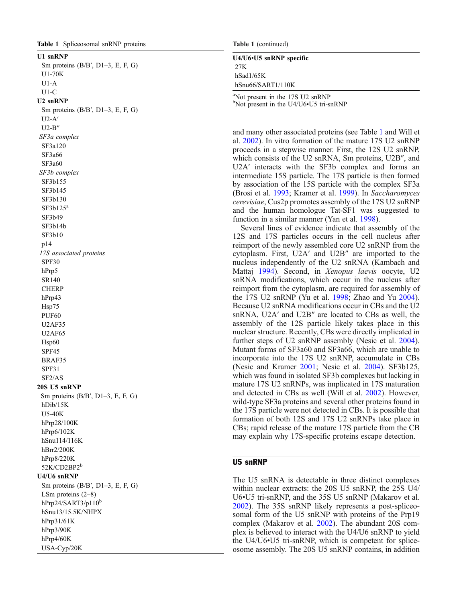## <span id="page-3-0"></span>U1 snRNP

Sm proteins  $(B/B', D1-3, E, F, G)$ U1-70K U1-A U1-C U2 snRNP Sm proteins (B/B ′, D1 –3, E, F, G) U2-A ′ U2-B ″ SF3a complex SF3a120 SF3a66 SF3a60 SF3b complex SF3b155 SF3b145 SF3b130  $SF3b125^a$ SF3b49 SF3b14b SF3b10 p14

17S associated proteins SPF30 hPrp5 SR140 **CHERP** hPrp43 Hsp75 PUF60 U2AF35 U2AF65 Hsp60 SPF45 BRAF35 SPF31 SF2/AS 20S U5 snRNP Sm proteins (B/B', D1-3, E, F, G) hDib/15K U5-40K hPrp28/100K hPrp6/102K hSnu114/116K hBrr2/200K hPrp8/220K

### 52K/CD2BP2 b U4/U6 snRNP

Sm proteins (B/B ′, D1 –3, E, F, G) LSm proteins (2 –8) hPrp24/SART3/p110<sup>b</sup> hSnu13/15.5K/NHPX hPrp31/61K hPrp3/90K hPrp4/60K USA-Cyp/20K

Table 1 (continued)

# U4/U6 •U5 snRNP specific 27K

hSad1/65K hSnu66/SART1/110K

<sup>a</sup>Not present in the 17S U2 snRNP<sup>b</sup><sub>Not</sub> present in the  $114/116$ • $115$  tri-s Not present in the U4/U6 •U5 tri-snRNP

and many other associated proteins (see Table 1 and Will et al. [2002](#page-11-0)). In vitro formation of the mature 17S U2 snRNP proceeds in a stepwise manner. First, the 12S U2 snRNP, which consists of the U2 snRNA, Sm proteins, U2B ″, and U2A ′ interacts with the SF3b complex and forms an intermediate 15S particle. The 17S particle is then formed by association of the 15S particle with the complex SF3a (Brosi et al. [1993;](#page-8-0) Kramer et al. [1999](#page-9-0)). In Saccharomyces cerevisiae, Cus2p promotes assembly of the 17S U2 snRNP and the human homologue Tat-SF1 was suggested to function in a similar manner (Yan et al. [1998\)](#page-11-0).

Several lines of evidence indicate that assembly of the 12S and 17S particles occurs in the cell nucleus after reimport of the newly assembled core U2 snRNP from the cytoplasm. First, U2A ′ and U2B ″ are imported to the nucleus independently of the U2 snRNA (Kambach and Mattaj [1994\)](#page-9-0). Second, in Xenopus laevis oocyte, U2 snRNA modifications, which occur in the nucleus after reimport from the cytoplasm, are required for assembly of the 17S U2 snRNP (Yu et al. [1998](#page-11-0); Zhao and Yu [2004](#page-11-0)). Because U2 snRNA modifications occur in CBs and the U2 snRNA, U2A ′ and U2B ″ are located to CBs as well, the assembly of the 12S particle likely takes place in this nuclear structure. Recently, CBs were directly implicated in further steps of U2 snRNP assembly (Nesic et al. [2004](#page-10-0)). Mutant forms of SF3a60 and SF3a66, which are unable to incorporate into the 17S U2 snRNP, accumulate in CBs (Nesic and Kramer [2001](#page-10-0); Nesic et al. [2004\)](#page-10-0). SF3b125, which was found in isolated SF3b complexes but lacking in mature 17S U2 snRNPs, was implicated in 17S maturation and detected in CBs as well (Will et al. [2002](#page-11-0)). However, wild-type SF3a proteins and several other proteins found in the 17S particle were not detected in CBs. It is possible that formation of both 12S and 17S U2 snRNPs take place in CBs; rapid release of the mature 17S particle from the CB may explain why 17S-specific proteins escape detection.

#### U5 snRNP

The U5 snRNA is detectable in three distinct complexes within nuclear extracts: the 20S U5 snRNP, the 25S U4/ U6 •U5 tri-snRNP, and the 35S U5 snRNP (Makarov et al. [2002](#page-9-0)). The 35S snRNP likely represents a post-spliceosomal form of the U5 snRNP with proteins of the Prp19 complex (Makarov et al. [2002\)](#page-9-0). The abundant 20S complex is believed to interact with the U4/U6 snRNP to yield the U4/U6 •U5 tri-snRNP, which is competent for spliceosome assembly. The 20S U5 snRNP contains, in addition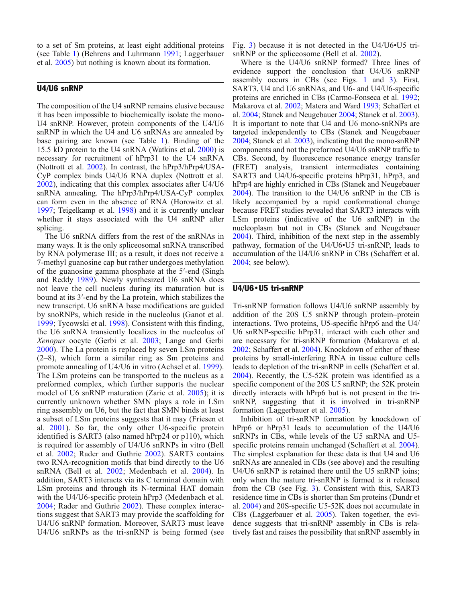to a set of Sm proteins, at least eight additional proteins (see Table [1\)](#page-3-0) (Behrens and Luhrmann [1991](#page-8-0); Laggerbauer et al. [2005\)](#page-9-0) but nothing is known about its formation.

# U4/U6 snRNP

The composition of the U4 snRNP remains elusive because it has been impossible to biochemically isolate the mono-U4 snRNP. However, protein components of the U4/U6 snRNP in which the U4 and U6 snRNAs are annealed by base pairing are known (see Table [1\)](#page-3-0). Binding of the 15.5 kD protein to the U4 snRNA (Watkins et al. [2000\)](#page-11-0) is necessary for recruitment of hPrp31 to the U4 snRNA (Nottrott et al. [2002](#page-10-0)). In contrast, the hPrp3/hPrp4/USA-CyP complex binds U4/U6 RNA duplex (Nottrott et al. [2002](#page-10-0)), indicating that this complex associates after U4/U6 snRNA annealing. The hPrp3/hPrp4/USA-CyP complex can form even in the absence of RNA (Horowitz et al. [1997](#page-9-0); Teigelkamp et al. [1998](#page-11-0)) and it is currently unclear whether it stays associated with the U4 snRNP after splicing.

The U6 snRNA differs from the rest of the snRNAs in many ways. It is the only spliceosomal snRNA transcribed by RNA polymerase III; as a result, it does not receive a 7-methyl guanosine cap but rather undergoes methylation of the guanosine gamma phosphate at the 5′-end (Singh and Reddy [1989\)](#page-10-0). Newly synthesized U6 snRNA does not leave the cell nucleus during its maturation but is bound at its 3′-end by the La protein, which stabilizes the new transcript. U6 snRNA base modifications are guided by snoRNPs, which reside in the nucleolus (Ganot et al. [1999;](#page-9-0) Tycowski et al. [1998](#page-11-0)). Consistent with this finding, the U6 snRNA transiently localizes in the nucleolus of Xenopus oocyte (Gerbi et al. [2003](#page-9-0); Lange and Gerbi [2000\)](#page-9-0). The La protein is replaced by seven LSm proteins (2–8), which form a similar ring as Sm proteins and promote annealing of U4/U6 in vitro (Achsel et al. [1999\)](#page-8-0). The LSm proteins can be transported to the nucleus as a preformed complex, which further supports the nuclear model of U6 snRNP maturation (Zaric et al. [2005\)](#page-11-0); it is currently unknown whether SMN plays a role in LSm ring assembly on U6, but the fact that SMN binds at least a subset of LSm proteins suggests that it may (Friesen et al. [2001\)](#page-9-0). So far, the only other U6-specific protein identified is SART3 (also named hPrp24 or p110), which is required for assembly of U4/U6 snRNPs in vitro (Bell et al. [2002;](#page-8-0) Rader and Guthrie [2002](#page-10-0)). SART3 contains two RNA-recognition motifs that bind directly to the U6 snRNA (Bell et al. [2002](#page-8-0); Medenbach et al. [2004](#page-10-0)). In addition, SART3 interacts via its C terminal domain with LSm proteins and through its N-terminal HAT domain with the U4/U6-specific protein hPrp3 (Medenbach et al. [2004;](#page-10-0) Rader and Guthrie [2002](#page-10-0)). These complex interactions suggest that SART3 may provide the scaffolding for U4/U6 snRNP formation. Moreover, SART3 must leave U4/U6 snRNPs as the tri-snRNP is being formed (see Fig. [3\)](#page-5-0) because it is not detected in the U4/U6•U5 tri-snRNP or the spliceosome (Bell et al. [2002](#page-8-0)).

Where is the U4/U6 snRNP formed? Three lines of evidence support the conclusion that U4/U6 snRNP assembly occurs in CBs (see Figs. [1](#page-1-0) and [3\)](#page-5-0). First, SART3, U4 and U6 snRNAs, and U6- and U4/U6-specific proteins are enriched in CBs (Carmo-Fonseca et al. [1992](#page-8-0); Makarova et al. [2002](#page-10-0); Matera and Ward [1993;](#page-10-0) Schaffert et al. [2004;](#page-10-0) Stanek and Neugebauer [2004;](#page-11-0) Stanek et al. [2003](#page-11-0)). It is important to note that U4 and U6 mono-snRNPs are targeted independently to CBs (Stanek and Neugebauer [2004](#page-11-0); Stanek et al. [2003](#page-11-0)), indicating that the mono-snRNP components and not the preformed U4/U6 snRNP traffic to CBs. Second, by fluorescence resonance energy transfer (FRET) analysis, transient intermediates containing SART3 and U4/U6-specific proteins hPrp31, hPrp3, and hPrp4 are highly enriched in CBs (Stanek and Neugebauer [2004](#page-11-0)). The transition to the U4/U6 snRNP in the CB is likely accompanied by a rapid conformational change because FRET studies revealed that SART3 interacts with LSm proteins (indicative of the U6 snRNP) in the nucleoplasm but not in CBs (Stanek and Neugebauer [2004](#page-11-0)). Third, inhibition of the next step in the assembly pathway, formation of the U4/U6•U5 tri-snRNP, leads to accumulation of the U4/U6 snRNP in CBs (Schaffert et al. [2004](#page-10-0); see below).

## U4/U6*•*U5 tri-snRNP

Tri-snRNP formation follows U4/U6 snRNP assembly by addition of the 20S U5 snRNP through protein–protein interactions. Two proteins, U5-specific hPrp6 and the U4/ U6 snRNP-specific hPrp31, interact with each other and are necessary for tri-snRNP formation (Makarova et al. [2002](#page-10-0); Schaffert et al. [2004](#page-10-0)). Knockdown of either of these proteins by small-interfering RNA in tissue culture cells leads to depletion of the tri-snRNP in cells (Schaffert et al. [2004](#page-10-0)). Recently, the U5-52K protein was identified as a specific component of the 20S U5 snRNP; the 52K protein directly interacts with hPrp6 but is not present in the trisnRNP, suggesting that it is involved in tri-snRNP formation (Laggerbauer et al. [2005\)](#page-9-0).

Inhibition of tri-snRNP formation by knockdown of hPrp6 or hPrp31 leads to accumulation of the U4/U6 snRNPs in CBs, while levels of the U5 snRNA and U5- specific proteins remain unchanged (Schaffert et al. [2004](#page-10-0)). The simplest explanation for these data is that U4 and U6 snRNAs are annealed in CBs (see above) and the resulting U4/U6 snRNP is retained there until the U5 snRNP joins; only when the mature tri-snRNP is formed is it released from the CB (see Fig. [3](#page-5-0)). Consistent with this, SART3 residence time in CBs is shorter than Sm proteins (Dundr et al. [2004\)](#page-9-0) and 20S-specific U5-52K does not accumulate in CBs (Laggerbauer et al. [2005](#page-9-0)). Taken together, the evidence suggests that tri-snRNP assembly in CBs is relatively fast and raises the possibility that snRNP assembly in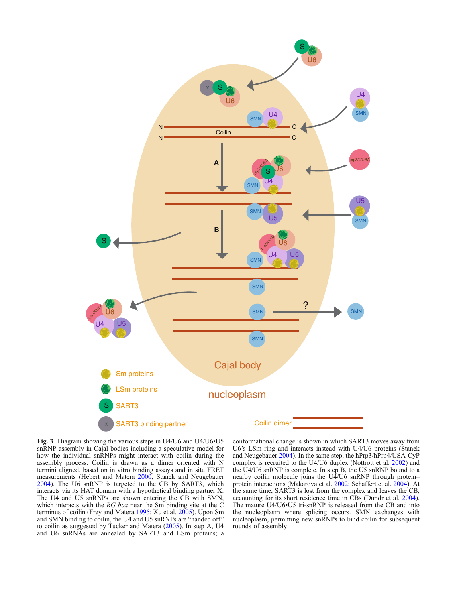<span id="page-5-0"></span>

Fig. 3 Diagram showing the various steps in U4/U6 and U4/U6•U5 snRNP assembly in Cajal bodies including a speculative model for how the individual snRNPs might interact with coilin during the assembly process. Coilin is drawn as a dimer oriented with N termini aligned, based on in vitro binding assays and in situ FRET measurements (Hebert and Matera [2000;](#page-9-0) Stanek and Neugebauer [2004](#page-11-0)). The U6 snRNP is targeted to the CB by SART3, which interacts via its HAT domain with a hypothetical binding partner X. The U4 and U5 snRNPs are shown entering the CB with SMN, which interacts with the RG box near the Sm binding site at the C terminus of coilin (Frey and Matera [1995](#page-9-0); Xu et al. [2005\)](#page-11-0). Upon Sm and SMN binding to coilin, the U4 and U5 snRNPs are "handed off" to coilin as suggested by Tucker and Matera ([2005\)](#page-11-0). In step A, U4 and U6 snRNAs are annealed by SART3 and LSm proteins; a

conformational change is shown in which SART3 moves away from U6's LSm ring and interacts instead with U4/U6 proteins (Stanek and Neugebauer [2004](#page-11-0)). In the same step, the hPrp3/hPrp4/USA-CyP complex is recruited to the U4/U6 duplex (Nottrott et al. [2002\)](#page-10-0) and the U4/U6 snRNP is complete. In step B, the U5 snRNP bound to a nearby coilin molecule joins the U4/U6 snRNP through protein– protein interactions (Makarova et al. [2002;](#page-10-0) Schaffert et al. [2004\)](#page-10-0). At the same time, SART3 is lost from the complex and leaves the CB, accounting for its short residence time in CBs (Dundr et al. [2004\)](#page-9-0). The mature U4/U6•U5 tri-snRNP is released from the CB and into the nucleoplasm where splicing occurs. SMN exchanges with nucleoplasm, permitting new snRNPs to bind coilin for subsequent rounds of assembly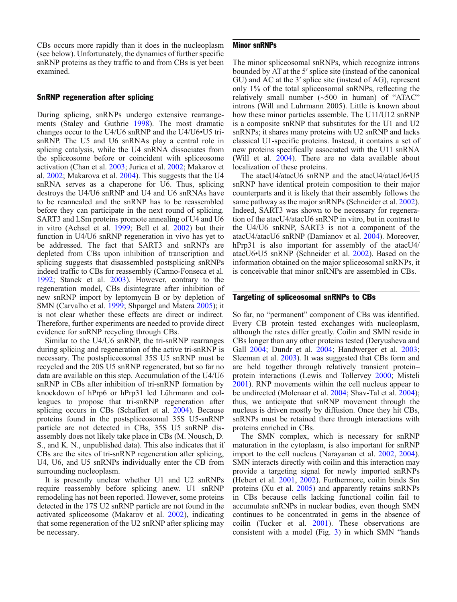CBs occurs more rapidly than it does in the nucleoplasm (see below). Unfortunately, the dynamics of further specific snRNP proteins as they traffic to and from CBs is yet been examined.

#### SnRNP regeneration after splicing

During splicing, snRNPs undergo extensive rearrangements (Staley and Guthrie [1998\)](#page-11-0). The most dramatic changes occur to the U4/U6 snRNP and the U4/U6•U5 trisnRNP. The U5 and U6 snRNAs play a central role in splicing catalysis, while the U4 snRNA dissociates from the spliceosome before or coincident with spliceosome activation (Chan et al. [2003;](#page-8-0) Jurica et al. [2002](#page-9-0); Makarov et al. [2002](#page-9-0); Makarova et al. [2004\)](#page-10-0). This suggests that the U4 snRNA serves as a chaperone for U6. Thus, splicing destroys the U4/U6 snRNP and U4 and U6 snRNAs have to be reannealed and the snRNP has to be reassembled before they can participate in the next round of splicing. SART3 and LSm proteins promote annealing of U4 and U6 in vitro (Achsel et al. [1999;](#page-8-0) Bell et al. [2002](#page-8-0)) but their function in U4/U6 snRNP regeneration in vivo has yet to be addressed. The fact that SART3 and snRNPs are depleted from CBs upon inhibition of transcription and splicing suggests that disassembled postsplicing snRNPs indeed traffic to CBs for reassembly (Carmo-Fonseca et al. [1992](#page-8-0); Stanek et al. [2003\)](#page-11-0). However, contrary to the regeneration model, CBs disintegrate after inhibition of new snRNP import by leptomycin B or by depletion of SMN (Carvalho et al. [1999;](#page-8-0) Shpargel and Matera [2005](#page-10-0)); it is not clear whether these effects are direct or indirect. Therefore, further experiments are needed to provide direct evidence for snRNP recycling through CBs.

Similar to the U4/U6 snRNP, the tri-snRNP rearranges during splicing and regeneration of the active tri-snRNP is necessary. The postspliceosomal 35S U5 snRNP must be recycled and the 20S U5 snRNP regenerated, but so far no data are available on this step. Accumulation of the U4/U6 snRNP in CBs after inhibition of tri-snRNP formation by knockdown of hPrp6 or hPrp31 led Lührmann and colleagues to propose that tri-snRNP regeneration after splicing occurs in CBs (Schaffert et al. [2004\)](#page-10-0). Because proteins found in the postspliceosomal 35S U5-snRNP particle are not detected in CBs, 35S U5 snRNP disassembly does not likely take place in CBs (M. Nousch, D. S., and K. N., unpublished data). This also indicates that if CBs are the sites of tri-snRNP regeneration after splicing, U4, U6, and U5 snRNPs individually enter the CB from surrounding nucleoplasm.

It is presently unclear whether U1 and U2 snRNPs require reassembly before splicing anew. U1 snRNP remodeling has not been reported. However, some proteins detected in the 17S U2 snRNP particle are not found in the activated spliceosome (Makarov et al. [2002\)](#page-9-0), indicating that some regeneration of the U2 snRNP after splicing may be necessary.

# Minor snRNPs

The minor spliceosomal snRNPs, which recognize introns bounded by AT at the 5′ splice site (instead of the canonical GU) and AC at the 3′ splice site (instead of AG), represent only 1% of the total spliceosomal snRNPs, reflecting the relatively small number (∼500 in human) of "ATAC" introns (Will and Luhrmann 2005). Little is known about how these minor particles assemble. The U11/U12 snRNP is a composite snRNP that substitutes for the U1 and U2 snRNPs; it shares many proteins with U2 snRNP and lacks classical U1-specific proteins. Instead, it contains a set of new proteins specifically associated with the U11 snRNA (Will et al. [2004\)](#page-11-0). There are no data available about localization of these proteins.

The atacU4/atacU6 snRNP and the atacU4/atacU6•U5 snRNP have identical protein composition to their major counterparts and it is likely that their assembly follows the same pathway as the major snRNPs (Schneider et al. [2002](#page-10-0)). Indeed, SART3 was shown to be necessary for regeneration of the atacU4/atacU6 snRNP in vitro, but in contrast to the U4/U6 snRNP, SART3 is not a component of the atacU4/atacU6 snRNP (Damianov et al. [2004\)](#page-9-0). Moreover, hPrp31 is also important for assembly of the atacU4/ atacU6•U5 snRNP (Schneider et al. [2002\)](#page-10-0). Based on the information obtained on the major spliceosomal snRNPs, it is conceivable that minor snRNPs are assembled in CBs.

#### Targeting of spliceosomal snRNPs to CBs

So far, no "permanent" component of CBs was identified. Every CB protein tested exchanges with nucleoplasm, although the rates differ greatly. Coilin and SMN reside in CBs longer than any other proteins tested (Deryusheva and Gall [2004;](#page-9-0) Dundr et al. [2004](#page-9-0); Handwerger et al. [2003](#page-9-0); Sleeman et al. [2003\)](#page-11-0). It was suggested that CBs form and are held together through relatively transient protein– protein interactions (Lewis and Tollervey [2000](#page-9-0); Misteli [2001](#page-10-0)). RNP movements within the cell nucleus appear to be undirected (Molenaar et al. [2004;](#page-10-0) Shav-Tal et al. [2004\)](#page-10-0); thus, we anticipate that snRNP movement through the nucleus is driven mostly by diffusion. Once they hit CBs, snRNPs must be retained there through interactions with proteins enriched in CBs.

The SMN complex, which is necessary for snRNP maturation in the cytoplasm, is also important for snRNP import to the cell nucleus (Narayanan et al. [2002,](#page-10-0) [2004](#page-10-0)). SMN interacts directly with coilin and this interaction may provide a targeting signal for newly imported snRNPs (Hebert et al. [2001](#page-9-0), [2002\)](#page-9-0). Furthermore, coilin binds Sm proteins (Xu et al. [2005\)](#page-11-0) and apparently retains snRNPs in CBs because cells lacking functional coilin fail to accumulate snRNPs in nuclear bodies, even though SMN continues to be concentrated in gems in the absence of coilin (Tucker et al. [2001](#page-11-0)). These observations are consistent with a model (Fig. [3](#page-5-0)) in which SMN "hands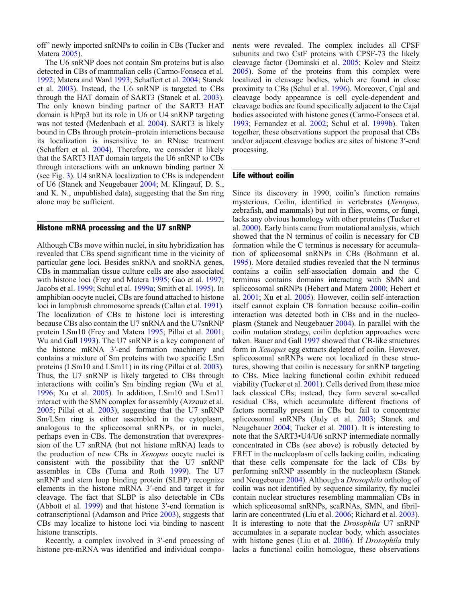off" newly imported snRNPs to coilin in CBs (Tucker and Matera [2005](#page-11-0)).

The U6 snRNP does not contain Sm proteins but is also detected in CBs of mammalian cells (Carmo-Fonseca et al. [1992](#page-8-0); Matera and Ward [1993](#page-10-0); Schaffert et al. [2004](#page-10-0); Stanek et al. [2003\)](#page-11-0). Instead, the U6 snRNP is targeted to CBs through the HAT domain of SART3 (Stanek et al. [2003\)](#page-11-0). The only known binding partner of the SART3 HAT domain is hPrp3 but its role in U6 or U4 snRNP targeting was not tested (Medenbach et al. [2004\)](#page-10-0). SART3 is likely bound in CBs through protein–protein interactions because its localization is insensitive to an RNase treatment (Schaffert et al. [2004](#page-10-0)). Therefore, we consider it likely that the SART3 HAT domain targets the U6 snRNP to CBs through interactions with an unknown binding partner X (see Fig. [3\)](#page-5-0). U4 snRNA localization to CBs is independent of U6 (Stanek and Neugebauer [2004;](#page-11-0) M. Klingauf, D. S., and K. N., unpublished data), suggesting that the Sm ring alone may be sufficient.

#### Histone mRNA processing and the U7 snRNP

Although CBs move within nuclei, in situ hybridization has revealed that CBs spend significant time in the vicinity of particular gene loci. Besides snRNA and snoRNA genes, CBs in mammalian tissue culture cells are also associated with histone loci (Frey and Matera [1995](#page-9-0); Gao et al. [1997](#page-9-0); Jacobs et al. [1999](#page-9-0); Schul et al. [1999a;](#page-10-0) Smith et al. [1995](#page-11-0)). In amphibian oocyte nuclei, CBs are found attached to histone loci in lampbrush chromosome spreads (Callan et al. [1991\)](#page-8-0). The localization of CBs to histone loci is interesting because CBs also contain the U7 snRNA and the U7snRNP protein LSm10 (Frey and Matera [1995;](#page-9-0) Pillai et al. [2001](#page-10-0); Wu and Gall [1993\)](#page-11-0). The U7 snRNP is a key component of the histone mRNA 3′-end formation machinery and contains a mixture of Sm proteins with two specific LSm proteins (LSm10 and LSm11) in its ring (Pillai et al. [2003\)](#page-10-0). Thus, the U7 snRNP is likely targeted to CBs through interactions with coilin's Sm binding region (Wu et al. [1996](#page-11-0); Xu et al. [2005\)](#page-11-0). In addition, LSm10 and LSm11 interact with the SMN complex for assembly (Azzouz et al. [2005](#page-8-0); Pillai et al. [2003](#page-10-0)), suggesting that the U7 snRNP Sm/LSm ring is either assembled in the cytoplasm, analogous to the spliceosomal snRNPs, or in nuclei, perhaps even in CBs. The demonstration that overexpression of the U7 snRNA (but not histone mRNA) leads to the production of new CBs in Xenopus oocyte nuclei is consistent with the possibility that the U7 snRNP assembles in CBs (Tuma and Roth [1999\)](#page-11-0). The U7 snRNP and stem loop binding protein (SLBP) recognize elements in the histone mRNA 3′-end and target it for cleavage. The fact that SLBP is also detectable in CBs (Abbott et al. [1999\)](#page-8-0) and that histone 3′-end formation is cotranscriptional (Adamson and Price [2003\)](#page-8-0), suggests that CBs may localize to histone loci via binding to nascent histone transcripts.

Recently, a complex involved in 3′-end processing of histone pre-mRNA was identified and individual components were revealed. The complex includes all CPSF subunits and two CstF proteins with CPSF-73 the likely cleavage factor (Dominski et al. [2005;](#page-9-0) Kolev and Steitz [2005](#page-9-0)). Some of the proteins from this complex were localized in cleavage bodies, which are found in close proximity to CBs (Schul et al. [1996\)](#page-10-0). Moreover, Cajal and cleavage body appearance is cell cycle-dependent and cleavage bodies are found specifically adjacent to the Cajal bodies associated with histone genes (Carmo-Fonseca et al. [1993](#page-8-0); Fernandez et al. [2002](#page-9-0); Schul et al. [1999b\)](#page-10-0). Taken together, these observations support the proposal that CBs and/or adjacent cleavage bodies are sites of histone 3′-end processing.

# Life without coilin

Since its discovery in 1990, coilin's function remains mysterious. Coilin, identified in vertebrates (Xenopus, zebrafish, and mammals) but not in flies, worms, or fungi, lacks any obvious homology with other proteins (Tucker et al. [2000](#page-11-0)). Early hints came from mutational analysis, which showed that the N terminus of coilin is necessary for CB formation while the C terminus is necessary for accumulation of spliceosomal snRNPs in CBs (Bohmann et al. [1995](#page-8-0)). More detailed studies revealed that the N terminus contains a coilin self-association domain and the C terminus contains domains interacting with SMN and spliceosomal snRNPs (Hebert and Matera [2000;](#page-9-0) Hebert et al. [2001;](#page-9-0) Xu et al. [2005\)](#page-11-0). However, coilin self-interaction itself cannot explain CB formation because coilin–coilin interaction was detected both in CBs and in the nucleoplasm (Stanek and Neugebauer [2004](#page-11-0)). In parallel with the coilin mutation strategy, coilin depletion approaches were taken. Bauer and Gall [1997](#page-8-0) showed that CB-like structures form in Xenopus egg extracts depleted of coilin. However, spliceosomal snRNPs were not localized in these structures, showing that coilin is necessary for snRNP targeting to CBs. Mice lacking functional coilin exhibit reduced viability (Tucker et al. [2001\)](#page-11-0). Cells derived from these mice lack classical CBs; instead, they form several so-called residual CBs, which accumulate different fractions of factors normally present in CBs but fail to concentrate spliceosomal snRNPs (Jady et al. [2003;](#page-9-0) Stanek and Neugebauer [2004;](#page-11-0) Tucker et al. [2001](#page-11-0)). It is interesting to note that the SART3•U4/U6 snRNP intermediate normally concentrated in CBs (see above) is robustly detected by FRET in the nucleoplasm of cells lacking coilin, indicating that these cells compensate for the lack of CBs by performing snRNP assembly in the nucleoplasm (Stanek and Neugebauer [2004](#page-11-0)). Although a Drosophila ortholog of coilin was not identified by sequence similarity, fly nuclei contain nuclear structures resembling mammalian CBs in which spliceosomal snRNPs, scaRNAs, SMN, and fibrillarin are concentrated (Liu et al. [2006;](#page-9-0) Richard et al. [2003](#page-10-0)). It is interesting to note that the Drosophila U7 snRNP accumulates in a separate nuclear body, which associates with histone genes (Liu et al. [2006\)](#page-9-0). If *Drosophila* truly lacks a functional coilin homologue, these observations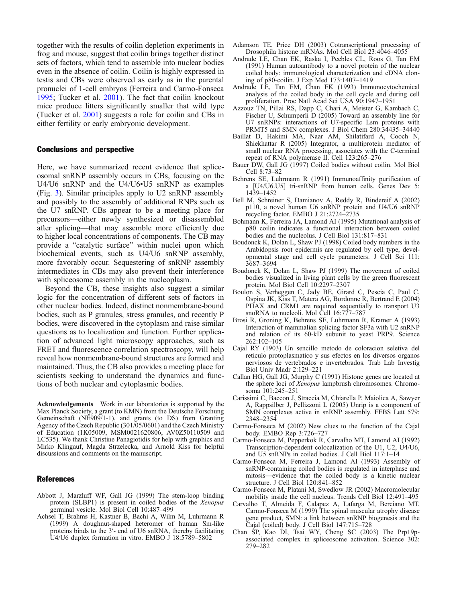<span id="page-8-0"></span>together with the results of coilin depletion experiments in frog and mouse, suggest that coilin brings together distinct sets of factors, which tend to assemble into nuclear bodies even in the absence of coilin. Coilin is highly expressed in testis and CBs were observed as early as in the parental pronuclei of 1-cell embryos (Ferreira and Carmo-Fonseca [1995](#page-9-0); Tucker et al. [2001\)](#page-11-0). The fact that coilin knockout mice produce litters significantly smaller that wild type (Tucker et al. [2001](#page-11-0)) suggests a role for coilin and CBs in either fertility or early embryonic development.

#### Conclusions and perspective

Here, we have summarized recent evidence that spliceosomal snRNP assembly occurs in CBs, focusing on the U4/U6 snRNP and the U4/U6•U5 snRNP as examples (Fig. [3\)](#page-5-0). Similar principles apply to U2 snRNP assembly and possibly to the assembly of additional RNPs such as the U7 snRNP. CBs appear to be a meeting place for precursors—either newly synthesized or disassembled after splicing—that may assemble more efficiently due to higher local concentrations of components. The CB may provide a "catalytic surface" within nuclei upon which biochemical events, such as U4/U6 snRNP assembly, more favorably occur. Sequestering of snRNP assembly intermediates in CBs may also prevent their interference with spliceosome assembly in the nucleoplasm.

Beyond the CB, these insights also suggest a similar logic for the concentration of different sets of factors in other nuclear bodies. Indeed, distinct nonmembrane-bound bodies, such as P granules, stress granules, and recently P bodies, were discovered in the cytoplasm and raise similar questions as to localization and function. Further application of advanced light microscopy approaches, such as FRET and fluorescence correlation spectroscopy, will help reveal how nonmembrane-bound structures are formed and maintained. Thus, the CB also provides a meeting place for scientists seeking to understand the dynamics and functions of both nuclear and cytoplasmic bodies.

Acknowledgements Work in our laboratories is supported by the Max Planck Society, a grant (to KMN) from the Deutsche Forschung Gemeinschaft (NE909/1-1), and grants (to DS) from Granting Agency of the Czech Republic (301/05/0601) and the Czech Ministry of Education (1K05009, MSM0021620806, AV0Z50110509 and LC535). We thank Christine Panagiotidis for help with graphics and Mirko Klingauf, Magda Strzelecka, and Arnold Kiss for helpful discussions and comments on the manuscript.

#### References

- Abbott J, Marzluff WF, Gall JG (1999) The stem-loop binding protein (SLBP1) is present in coiled bodies of the Xenopus germinal vesicle. Mol Biol Cell 10:487–499
- Achsel T, Brahms H, Kastner B, Bachi A, Wilm M, Luhrmann R (1999) A doughnut-shaped heteromer of human Sm-like proteins binds to the 3′- end of U6 snRNA, thereby facilitating U4/U6 duplex formation in vitro. EMBO J 18:5789–5802
- Adamson TE, Price DH (2003) Cotranscriptional processing of Drosophila histone mRNAs. Mol Cell Biol 23:4046–4055
- Andrade LE, Chan EK, Raska I, Peebles CL, Roos G, Tan EM (1991) Human autoantibody to a novel protein of the nuclear coiled body: immunological characterization and cDNA cloning of p80-coilin. J Exp Med 173:1407–1419
- Andrade LE, Tan EM, Chan EK (1993) Immunocytochemical analysis of the coiled body in the cell cycle and during cell proliferation. Proc Natl Acad Sci USA 90:1947–1951
- Azzouz TN, Pillai RS, Dapp C, Chari A, Meister G, Kambach C, Fischer U, Schumperli D (2005) Toward an assembly line for U7 snRNPs: interactions of U7-specific Lsm proteins with PRMT5 and SMN complexes. J Biol Chem 280:34435–34440
- Baillat D, Hakimi MA, Naar AM, Shilatifard A, Cooch N, Shiekhattar R (2005) Integrator, a multiprotein mediator of small nuclear RNA processing, associates with the C-terminal repeat of RNA polymerase II. Cell 123:265–276
- Bauer DW, Gall JG (1997) Coiled bodies without coilin. Mol Biol Cell 8:73–82
- Behrens SE, Luhrmann R (1991) Immunoaffinity purification of a [U4/U6.U5] tri-snRNP from human cells. Genes Dev 5: 1439–1452
- Bell M, Schreiner S, Damianov A, Reddy R, Bindereif A (2002) p110, a novel human U6 snRNP protein and U4/U6 snRNP recycling factor. EMBO J 21:2724–2735
- Bohmann K, Ferreira JA, Lamond AI (1995) Mutational analysis of p80 coilin indicates a functional interaction between coiled bodies and the nucleolus. J Cell Biol 131:817–831
- Boudonck K, Dolan L, Shaw PJ (1998) Coiled body numbers in the Arabidopsis root epidermis are regulated by cell type, developmental stage and cell cycle parameters. J Cell Sci 111: 3687–3694
- Boudonck K, Dolan L, Shaw PJ (1999) The movement of coiled bodies visualized in living plant cells by the green fluorescent protein. Mol Biol Cell 10:2297–2307
- Boulon S, Verheggen C, Jady BE, Girard C, Pescia C, Paul C, Ospina JK, Kiss T, Matera AG, Bordonne R, Bertrand E (2004) PHAX and CRM1 are required sequentially to transport U3 snoRNA to nucleoli. Mol Cell 16:777–787
- Brosi R, Groning K, Behrens SE, Luhrmann R, Kramer A (1993) Interaction of mammalian splicing factor SF3a with U2 snRNP and relation of its 60-kD subunit to yeast PRP9. Science 262:102–105
- Cajal RY (1903) Un sencillo metodo de coloracion seletiva del reticulo protoplasmatico y sus efectos en los diversos organos nerviosos de vertebrados e invertebrados. Trab Lab Investig Biol Univ Madr 2:129–221
- Callan HG, Gall JG, Murphy C (1991) Histone genes are located at the sphere loci of Xenopus lampbrush chromosomes. Chromosoma 101:245–251
- Carissimi C, Baccon J, Straccia M, Chiarella P, Maiolica A, Sawyer A, Rappsilber J, Pellizzoni L (2005) Unrip is a component of SMN complexes active in snRNP assembly. FEBS Lett 579: 2348–2354
- Carmo-Fonseca M (2002) New clues to the function of the Cajal body. EMBO Rep 3:726–727
- Carmo-Fonseca M, Pepperkok R, Carvalho MT, Lamond AI (1992) Transcription-dependent colocalization of the U1, U2, U4/U6, and U5 snRNPs in coiled bodies. J Cell Biol 117:1–14
- Carmo-Fonseca M, Ferreira J, Lamond AI (1993) Assembly of snRNP-containing coiled bodies is regulated in interphase and mitosis—evidence that the coiled body is a kinetic nuclear structure. J Cell Biol 120:841–852
- Carmo-Fonseca M, Platani M, Swedlow JR (2002) Macromolecular mobility inside the cell nucleus. Trends Cell Biol 12:491–495
- Carvalho T, Almeida F, Calapez A, Lafarga M, Berciano MT, Carmo-Fonseca M (1999) The spinal muscular atrophy disease gene product, SMN: a link between snRNP biogenesis and the Cajal (coiled) body. J Cell Biol 147:715–728
- Chan SP, Kao DI, Tsai WY, Cheng SC (2003) The Prp19passociated complex in spliceosome activation. Science 302: 279–282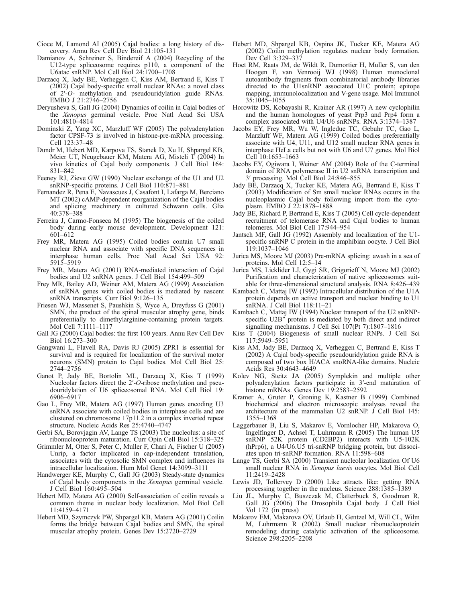- <span id="page-9-0"></span>Cioce M, Lamond AI (2005) Cajal bodies: a long history of discovery. Annu Rev Cell Dev Biol 21:105-131
- Damianov A, Schreiner S, Bindereif A (2004) Recycling of the U12-type spliceosome requires p110, a component of the U6atac snRNP. Mol Cell Biol 24:1700–1708
- Darzacq X, Jady BE, Verheggen C, Kiss AM, Bertrand E, Kiss T (2002) Cajal body-specific small nuclear RNAs: a novel class of 2′-O- methylation and pseudouridylation guide RNAs. EMBO J 21:2746–2756
- Deryusheva S, Gall JG (2004) Dynamics of coilin in Cajal bodies of the Xenopus germinal vesicle. Proc Natl Acad Sci USA 101:4810–4814
- Dominski Z, Yang XC, Marzluff WF (2005) The polyadenylation factor CPSF-73 is involved in histone-pre-mRNA processing. Cell 123:37–48
- Dundr M, Hebert MD, Karpova TS, Stanek D, Xu H, Shpargel KB, Meier UT, Neugebauer KM, Matera AG, Misteli T (2004) In vivo kinetics of Cajal body components. J Cell Biol 164: 831–842
- Feeney RJ, Zieve GW (1990) Nuclear exchange of the U1 and U2 snRNP-specific proteins. J Cell Biol 110:871–881
- Fernandez R, Pena E, Navascues J, Casafont I, Lafarga M, Berciano MT (2002) cAMP-dependent reorganization of the Cajal bodies and splicing machinery in cultured Schwann cells. Glia 40:378–388
- Ferreira J, Carmo-Fonseca M (1995) The biogenesis of the coiled body during early mouse development. Development 121: 601–612
- Frey MR, Matera AG (1995) Coiled bodies contain U7 small nuclear RNA and associate with specific DNA sequences in interphase human cells. Proc Natl Acad Sci USA 92: 5915–5919
- Frey MR, Matera AG (2001) RNA-mediated interaction of Cajal bodies and U2 snRNA genes. J Cell Biol 154:499–509
- Frey MR, Bailey AD, Weiner AM, Matera AG (1999) Association of snRNA genes with coiled bodies is mediated by nascent snRNA transcripts. Curr Biol 9:126–135
- Friesen WJ, Massenet S, Paushkin S, Wyce A, Dreyfuss G (2001) SMN, the product of the spinal muscular atrophy gene, binds preferentially to dimethylarginine-containing protein targets. Mol Cell 7:1111–1117
- Gall JG (2000) Cajal bodies: the first 100 years. Annu Rev Cell Dev Biol 16:273–300
- Gangwani L, Flavell RA, Davis RJ (2005) ZPR1 is essential for survival and is required for localization of the survival motor neurons (SMN) protein to Cajal bodies. Mol Cell Biol 25: 2744–2756
- Ganot P, Jady BE, Bortolin ML, Darzacq X, Kiss T (1999) Nucleolar factors direct the 2′-O-ribose methylation and pseudouridylation of U6 spliceosomal RNA. Mol Cell Biol 19: 6906–6917
- Gao L, Frey MR, Matera AG (1997) Human genes encoding U3 snRNA associate with coiled bodies in interphase cells and are clustered on chromosome 17p11.2 in a complex inverted repeat structure. Nucleic Acids Res 25:4740–4747
- Gerbi SA, Borovjagin AV, Lange TS (2003) The nucleolus: a site of ribonucleoprotein maturation. Curr Opin Cell Biol 15:318–325
- Grimmler M, Otter S, Peter C, Muller F, Chari A, Fischer U (2005) Unrip, a factor implicated in cap-independent translation, associates with the cytosolic SMN complex and influences its intracellular localization. Hum Mol Genet 14:3099–3111
- Handwerger KE, Murphy C, Gall JG (2003) Steady-state dynamics of Cajal body components in the Xenopus germinal vesicle. J Cell Biol 160:495–504
- Hebert MD, Matera AG (2000) Self-association of coilin reveals a common theme in nuclear body localization. Mol Biol Cell 11:4159–4171
- Hebert MD, Szymczyk PW, Shpargel KB, Matera AG (2001) Coilin forms the bridge between Cajal bodies and SMN, the spinal muscular atrophy protein. Genes Dev 15:2720–2729
- Hebert MD, Shpargel KB, Ospina JK, Tucker KE, Matera AG (2002) Coilin methylation regulates nuclear body formation. Dev Cell 3:329–337
- Hoet RM, Raats JM, de Wildt R, Dumortier H, Muller S, van den Hoogen F, van Venrooij WJ (1998) Human monoclonal autoantibody fragments from combinatorial antibody libraries directed to the U1snRNP associated U1C protein; epitope mapping, immunolocalization and V-gene usage. Mol Immunol 35:1045–1055
- Horowitz DS, Kobayashi R, Krainer AR (1997) A new cyclophilin and the human homologues of yeast Prp3 and Prp4 form a complex associated with U4/U6 snRNPs. RNA 3:1374–1387
- Jacobs EY, Frey MR, Wu W, Ingledue TC, Gebuhr TC, Gao L, Marzluff WF, Matera AG (1999) Coiled bodies preferentially associate with U4, U11, and U12 small nuclear RNA genes in interphase HeLa cells but not with U6 and U7 genes. Mol Biol Cell 10:1653–1663
- Jacobs EY, Ogiwara I, Weiner AM (2004) Role of the C-terminal domain of RNA polymerase II in U2 snRNA transcription and 3′ processing. Mol Cell Biol 24:846–855
- Jady BE, Darzacq X, Tucker KE, Matera AG, Bertrand E, Kiss T (2003) Modification of Sm small nuclear RNAs occurs in the nucleoplasmic Cajal body following import from the cytoplasm. EMBO J 22:1878–1888
- Jady BE, Richard P, Bertrand E, Kiss T (2005) Cell cycle-dependent recruitment of telomerase RNA and Cajal bodies to human telomeres. Mol Biol Cell 17:944–954
- Jantsch MF, Gall JG (1992) Assembly and localization of the U1 specific snRNP C protein in the amphibian oocyte. J Cell Biol 119:1037–1046
- Jurica MS, Moore MJ (2003) Pre-mRNA splicing: awash in a sea of proteins. Mol Cell 12:5–14
- Jurica MS, Licklider LJ, Gygi SR, Grigorieff N, Moore MJ (2002) Purification and characterization of native spliceosomes suitable for three-dimensional structural analysis. RNA 8:426–439
- Kambach C, Mattaj IW (1992) Intracellular distribution of the U1A protein depends on active transport and nuclear binding to U1 snRNA. J Cell Biol 118:11–21
- Kambach C, Mattaj IW (1994) Nuclear transport of the U2 snRNPspecific U2B″ protein is mediated by both direct and indirect signalling mechanisms. J Cell Sci 107(Pt 7):1807–1816
- Kiss T (2004) Biogenesis of small nuclear RNPs. J Cell Sci 117:5949–5951
- Kiss AM, Jady BE, Darzacq X, Verheggen C, Bertrand E, Kiss T (2002) A Cajal body-specific pseudouridylation guide RNA is composed of two box H/ACA snoRNA-like domains. Nucleic Acids Res 30:4643–4649
- Kolev NG, Steitz JA (2005) Symplekin and multiple other polyadenylation factors participate in 3′-end maturation of histone mRNAs. Genes Dev 19:2583–2592
- Kramer A, Gruter P, Groning K, Kastner B (1999) Combined biochemical and electron microscopic analyses reveal the architecture of the mammalian U2 snRNP. J Cell Biol 145: 1355–1368
- Laggerbauer B, Liu S, Makarov E, Vornlocher HP, Makarova O, Ingelfinger D, Achsel T, Luhrmann R (2005) The human U5 snRNP 52K protein (CD2BP2) interacts with U5-102K (hPrp6), a U4/U6.U5 tri-snRNP bridging protein, but dissociates upon tri-snRNP formation. RNA 11:598–608
- Lange TS, Gerbi SA (2000) Transient nucleolar localization Of U6 small nuclear RNA in Xenopus laevis oocytes. Mol Biol Cell 11:2419–2428
- Lewis JD, Tollervey D (2000) Like attracts like: getting RNA processing together in the nucleus. Science 288:1385–1389
- Liu JL, Murphy C, Buszczak M, Clatterbuck S, Goodman R, Gall JG (2006) The Drosophila Cajal body. J Cell Biol Vol 172 (in press)
- Makarov EM, Makarova OV, Urlaub H, Gentzel M, Will CL, Wilm M, Luhrmann R (2002) Small nuclear ribonucleoprotein remodeling during catalytic activation of the spliceosome. Science 298:2205–2208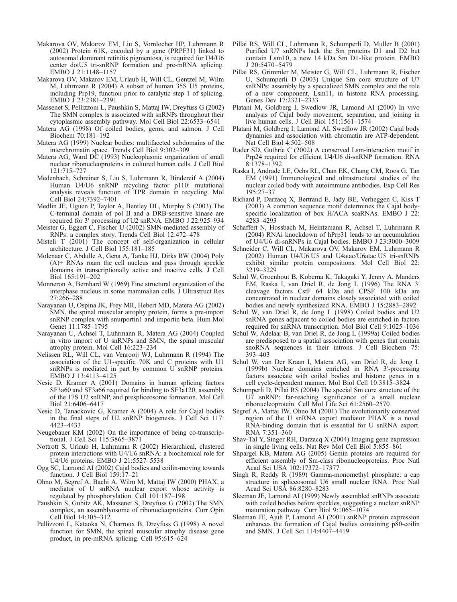- <span id="page-10-0"></span>Makarova OV, Makarov EM, Liu S, Vornlocher HP, Luhrmann R (2002) Protein 61K, encoded by a gene (PRPF31) linked to autosomal dominant retinitis pigmentosa, is required for U4/U6 center dotU5 tri-snRNP formation and pre-mRNA splicing. EMBO J 21:1148–1157
- Makarova OV, Makarov EM, Urlaub H, Will CL, Gentzel M, Wilm M, Luhrmann R (2004) A subset of human 35S U5 proteins, including Prp19, function prior to catalytic step 1 of splicing. EMBO J 23:2381–2391
- Massenet S, Pellizzoni L, Paushkin S, Mattaj IW, Dreyfuss G (2002) The SMN complex is associated with snRNPs throughout their cytoplasmic assembly pathway. Mol Cell Biol 22:6533–6541
- Matera AG (1998) Of coiled bodies, gems, and salmon. J Cell Biochem 70:181–192
- Matera AG (1999) Nuclear bodies: multifaceted subdomains of the interchromatin space. Trends Cell Biol 9:302–309
- Matera AG, Ward DC (1993) Nucleoplasmic organization of small nuclear ribonucleoproteins in cultured human cells. J Cell Biol 121:715–727
- Medenbach, Schreiner S, Liu S, Luhrmann R, Bindereif A (2004) Human U4/U6 snRNP recycling factor p110: mutational analysis reveals function of TPR domain in recycling. Mol Cell Biol 24:7392–7401
- Medlin JE, Uguen P, Taylor A, Bentley DL, Murphy S (2003) The C-terminal domain of pol II and a DRB-sensitive kinase are required for 3′ processing of U2 snRNA. EMBO J 22:925–934
- Meister G, Eggert C, Fischer U (2002) SMN-mediated assembly of RNPs: a complex story. Trends Cell Biol 12:472–478
- Misteli T (2001) The concept of self-organization in cellular architecture. J Cell Biol 155:181–185
- Molenaar C, Abdulle A, Gena A, Tanke HJ, Dirks RW (2004) Poly (A)+ RNAs roam the cell nucleus and pass through speckle domains in transcriptionally active and inactive cells. J Cell Biol 165:191–202
- Monneron A, Bernhard W (1969) Fine structural organization of the interphase nucleus in some mammalian cells. J Ultrastruct Res 27:266–288
- Narayanan U, Ospina JK, Frey MR, Hebert MD, Matera AG (2002) SMN, the spinal muscular atrophy protein, forms a pre-import snRNP complex with snurportin1 and importin beta. Hum Mol Genet 11:1785–1795
- Narayanan U, Achsel T, Luhrmann R, Matera AG (2004) Coupled in vitro import of U snRNPs and SMN, the spinal muscular atrophy protein. Mol Cell 16:223–234
- Nelissen RL, Will CL, van Venrooij WJ, Luhrmann R (1994) The association of the U1-specific 70K and C proteins with U1 snRNPs is mediated in part by common U snRNP proteins. EMBO J 13:4113–4125
- Nesic D, Kramer A (2001) Domains in human splicing factors SF3a60 and SF3a66 required for binding to SF3a120, assembly of the 17S U2 snRNP, and prespliceosome formation. Mol Cell Biol 21:6406–6417
- Nesic D, Tanackovic G, Kramer A (2004) A role for Cajal bodies in the final steps of U2 snRNP biogenesis. J Cell Sci 117: 4423–4433
- Neugebauer KM (2002) On the importance of being co-transcriptional. J Cell Sci 115:3865–3871
- Nottrott S, Urlaub H, Luhrmann R (2002) Hierarchical, clustered protein interactions with U4/U6 snRNA: a biochemical role for U4/U6 proteins. EMBO J 21:5527–5538
- Ogg SC, Lamond AI (2002) Cajal bodies and coilin-moving towards function. J Cell Biol 159:17–21
- Ohno M, Segref A, Bachi A, Wilm M, Mattaj IW (2000) PHAX, a mediator of U snRNA nuclear export whose activity is regulated by phosphorylation. Cell 101:187–198
- Paushkin S, Gubitz AK, Massenet S, Dreyfuss G (2002) The SMN complex, an assemblyosome of ribonucleoproteins. Curr Opin Cell Biol 14:305–312
- Pellizzoni L, Kataoka N, Charroux B, Dreyfuss G (1998) A novel function for SMN, the spinal muscular atrophy disease gene product, in pre-mRNA splicing. Cell 95:615–624
- Pillai RS, Will CL, Luhrmann R, Schumperli D, Muller B (2001) Purified U7 snRNPs lack the Sm proteins D1 and D2 but contain Lsm10, a new 14 kDa Sm D1-like protein. EMBO J 20:5470–5479
- Pillai RS, Grimmler M, Meister G, Will CL, Luhrmann R, Fischer U, Schumperli D (2003) Unique Sm core structure of U7 snRNPs: assembly by a specialized SMN complex and the role of a new component, Lsm11, in histone RNA processing. Genes Dev 17:2321–2333
- Platani M, Goldberg I, Swedlow JR, Lamond AI (2000) In vivo analysis of Cajal body movement, separation, and joining in live human cells. J Cell Biol 151:1561–1574
- Platani M, Goldberg I, Lamond AI, Swedlow JR (2002) Cajal body dynamics and association with chromatin are ATP-dependent. Nat Cell Biol 4:502–508
- Rader SD, Guthrie C (2002) A conserved Lsm-interaction motif in Prp24 required for efficient U4/U6 di-snRNP formation. RNA 8:1378–1392
- Raska I, Andrade LE, Ochs RL, Chan EK, Chang CM, Roos G, Tan EM (1991) Immunological and ultrastructural studies of the nuclear coiled body with autoimmune antibodies. Exp Cell Res 195:27–37
- Richard P, Darzacq X, Bertrand E, Jady BE, Verheggen C, Kiss T (2003) A common sequence motif determines the Cajal bodyspecific localization of box H/ACA scaRNAs. EMBO J 22: 4283–4293
- Schaffert N, Hossbach M, Heintzmann R, Achsel T, Luhrmann R (2004) RNAi knockdown of hPrp31 leads to an accumulation of U4/U6 di-snRNPs in Cajal bodies. EMBO J 23:3000–3009
- Schneider C, Will CL, Makarova OV, Makarov EM, Luhrmann R (2002) Human U4/U6.U5 and U4atac/U6atac.U5 tri-snRNPs exhibit similar protein compositions. Mol Cell Biol 22: 3219–3229
- Schul W, Groenhout B, Koberna K, Takagaki Y, Jenny A, Manders EM, Raska I, van Driel R, de Jong L (1996) The RNA 3′ cleavage factors CstF 64 kDa and CPSF 100 kDa are concentrated in nuclear domains closely associated with coiled bodies and newly synthesized RNA. EMBO J 15:2883–2892
- Schul W, van Driel R, de Jong L (1998) Coiled bodies and U2 snRNA genes adjacent to coiled bodies are enriched in factors required for snRNA transcription. Mol Biol Cell 9:1025–1036
- Schul W, Adelaar B, van Driel R, de Jong L (1999a) Coiled bodies are predisposed to a spatial association with genes that contain snoRNA sequences in their introns. J Cell Biochem 75: 393–403
- Schul W, van Der Kraan I, Matera AG, van Driel R, de Jong L (1999b) Nuclear domains enriched in RNA 3′-processing factors associate with coiled bodies and histone genes in a cell cycle-dependent manner. Mol Biol Cell 10:3815–3824
- Schumperli D, Pillai RS (2004) The special Sm core structure of the U7 snRNP: far-reaching significance of a small nuclear ribonucleoprotein. Cell Mol Life Sci 61:2560–2570
- Segref A, Mattaj IW, Ohno M (2001) The evolutionarily conserved region of the U snRNA export mediator PHAX is a novel RNA-binding domain that is essential for U snRNA export. RNA 7:351–360
- Shav-Tal Y, Singer RH, Darzacq X (2004) Imaging gene expression in single living cells. Nat Rev Mol Cell Biol 5:855–861
- Shpargel KB, Matera AG (2005) Gemin proteins are required for efficient assembly of Sm-class ribonucleoproteins. Proc Natl Acad Sci USA 102:17372–17377
- Singh R, Reddy R (1989) Gamma-monomethyl phosphate: a cap structure in spliceosomal U6 small nuclear RNA. Proc Natl Acad Sci USA 86:8280–8283
- Sleeman JE, Lamond AI (1999) Newly assembled snRNPs associate with coiled bodies before speckles, suggesting a nuclear snRNP maturation pathway. Curr Biol 9:1065–1074
- Sleeman JE, Ajuh P, Lamond AI (2001) snRNP protein expression enhances the formation of Cajal bodies containing p80-coilin and SMN. J Cell Sci 114:4407–4419